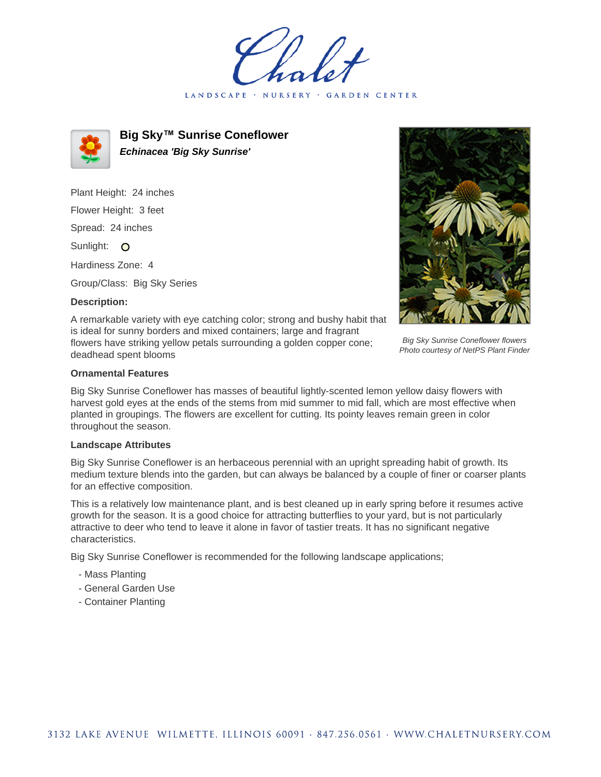LANDSCAPE · **GARDEN CENTER** 



**Big Sky™ Sunrise Coneflower Echinacea 'Big Sky Sunrise'**

Plant Height: 24 inches Flower Height: 3 feet Spread: 24 inches Sunlight: O

Hardiness Zone: 4

Group/Class: Big Sky Series

## **Description:**

A remarkable variety with eye catching color; strong and bushy habit that is ideal for sunny borders and mixed containers; large and fragrant flowers have striking yellow petals surrounding a golden copper cone; deadhead spent blooms



Big Sky Sunrise Coneflower flowers Photo courtesy of NetPS Plant Finder

## **Ornamental Features**

Big Sky Sunrise Coneflower has masses of beautiful lightly-scented lemon yellow daisy flowers with harvest gold eyes at the ends of the stems from mid summer to mid fall, which are most effective when planted in groupings. The flowers are excellent for cutting. Its pointy leaves remain green in color throughout the season.

## **Landscape Attributes**

Big Sky Sunrise Coneflower is an herbaceous perennial with an upright spreading habit of growth. Its medium texture blends into the garden, but can always be balanced by a couple of finer or coarser plants for an effective composition.

This is a relatively low maintenance plant, and is best cleaned up in early spring before it resumes active growth for the season. It is a good choice for attracting butterflies to your yard, but is not particularly attractive to deer who tend to leave it alone in favor of tastier treats. It has no significant negative characteristics.

Big Sky Sunrise Coneflower is recommended for the following landscape applications;

- Mass Planting
- General Garden Use
- Container Planting